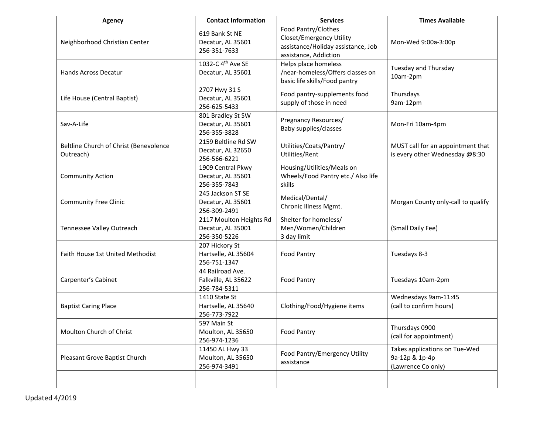| <b>Agency</b>                                       | <b>Contact Information</b>                                   | <b>Services</b>                                                                                                | <b>Times Available</b>                                                |
|-----------------------------------------------------|--------------------------------------------------------------|----------------------------------------------------------------------------------------------------------------|-----------------------------------------------------------------------|
| Neighborhood Christian Center                       | 619 Bank St NE<br>Decatur, AL 35601<br>256-351-7633          | Food Pantry/Clothes<br>Closet/Emergency Utility<br>assistance/Holiday assistance, Job<br>assistance, Addiction | Mon-Wed 9:00a-3:00p                                                   |
| Hands Across Decatur                                | 1032-C 4 <sup>th</sup> Ave SE<br>Decatur, AL 35601           | Helps place homeless<br>/near-homeless/Offers classes on<br>basic life skills/Food pantry                      | Tuesday and Thursday<br>10am-2pm                                      |
| Life House (Central Baptist)                        | 2707 Hwy 31 S<br>Decatur, AL 35601<br>256-625-5433           | Food pantry-supplements food<br>supply of those in need                                                        | Thursdays<br>9am-12pm                                                 |
| Sav-A-Life                                          | 801 Bradley St SW<br>Decatur, AL 35601<br>256-355-3828       | Pregnancy Resources/<br>Baby supplies/classes                                                                  | Mon-Fri 10am-4pm                                                      |
| Beltline Church of Christ (Benevolence<br>Outreach) | 2159 Beltline Rd SW<br>Decatur, AL 32650<br>256-566-6221     | Utilities/Coats/Pantry/<br>Utilities/Rent                                                                      | MUST call for an appointment that<br>is every other Wednesday @8:30   |
| <b>Community Action</b>                             | 1909 Central Pkwy<br>Decatur, AL 35601<br>256-355-7843       | Housing/Utilities/Meals on<br>Wheels/Food Pantry etc./ Also life<br>skills                                     |                                                                       |
| <b>Community Free Clinic</b>                        | 245 Jackson ST SE<br>Decatur, AL 35601<br>256-309-2491       | Medical/Dental/<br>Chronic Illness Mgmt.                                                                       | Morgan County only-call to qualify                                    |
| Tennessee Valley Outreach                           | 2117 Moulton Heights Rd<br>Decatur, AL 35001<br>256-350-5226 | Shelter for homeless/<br>Men/Women/Children<br>3 day limit                                                     | (Small Daily Fee)                                                     |
| Faith House 1st United Methodist                    | 207 Hickory St<br>Hartselle, AL 35604<br>256-751-1347        | <b>Food Pantry</b>                                                                                             | Tuesdays 8-3                                                          |
| Carpenter's Cabinet                                 | 44 Railroad Ave.<br>Falkville, AL 35622<br>256-784-5311      | <b>Food Pantry</b>                                                                                             | Tuesdays 10am-2pm                                                     |
| <b>Baptist Caring Place</b>                         | 1410 State St<br>Hartselle, AL 35640<br>256-773-7922         | Clothing/Food/Hygiene items                                                                                    | Wednesdays 9am-11:45<br>(call to confirm hours)                       |
| Moulton Church of Christ                            | 597 Main St<br>Moulton, AL 35650<br>256-974-1236             | <b>Food Pantry</b>                                                                                             | Thursdays 0900<br>(call for appointment)                              |
| Pleasant Grove Baptist Church                       | 11450 AL Hwy 33<br>Moulton, AL 35650<br>256-974-3491         | Food Pantry/Emergency Utility<br>assistance                                                                    | Takes applications on Tue-Wed<br>9a-12p & 1p-4p<br>(Lawrence Co only) |
|                                                     |                                                              |                                                                                                                |                                                                       |